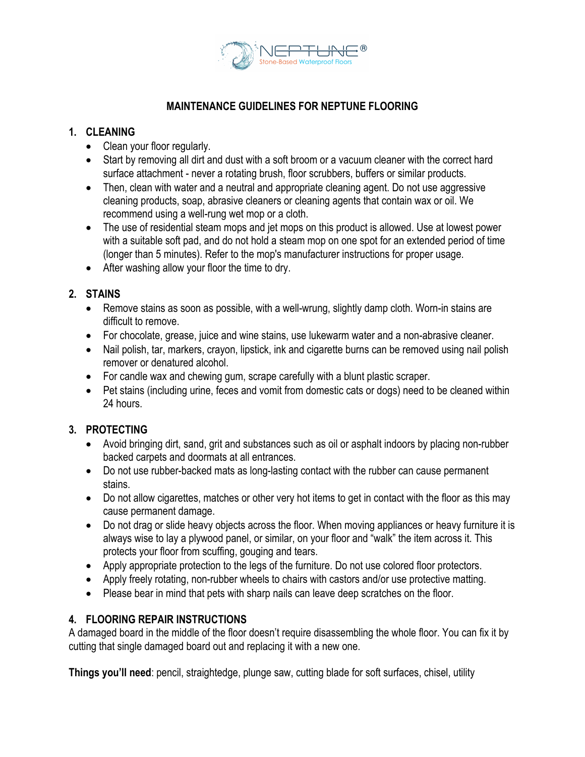

# **MAINTENANCE GUIDELINES FOR NEPTUNE FLOORING**

# **1. CLEANING**

- Clean your floor regularly.
- Start by removing all dirt and dust with a soft broom or a vacuum cleaner with the correct hard surface attachment - never a rotating brush, floor scrubbers, buffers or similar products.
- Then, clean with water and a neutral and appropriate cleaning agent. Do not use aggressive cleaning products, soap, abrasive cleaners or cleaning agents that contain wax or oil. We recommend using a well-rung wet mop or a cloth.
- The use of residential steam mops and jet mops on this product is allowed. Use at lowest power with a suitable soft pad, and do not hold a steam mop on one spot for an extended period of time (longer than 5 minutes). Refer to the mop's manufacturer instructions for proper usage.
- After washing allow your floor the time to dry.

# **2. STAINS**

- Remove stains as soon as possible, with a well-wrung, slightly damp cloth. Worn-in stains are difficult to remove.
- For chocolate, grease, juice and wine stains, use lukewarm water and a non-abrasive cleaner.
- Nail polish, tar, markers, crayon, lipstick, ink and cigarette burns can be removed using nail polish remover or denatured alcohol.
- For candle wax and chewing gum, scrape carefully with a blunt plastic scraper.
- Pet stains (including urine, feces and vomit from domestic cats or dogs) need to be cleaned within 24 hours.

## **3. PROTECTING**

- Avoid bringing dirt, sand, grit and substances such as oil or asphalt indoors by placing non-rubber backed carpets and doormats at all entrances.
- Do not use rubber-backed mats as long-lasting contact with the rubber can cause permanent stains.
- Do not allow cigarettes, matches or other very hot items to get in contact with the floor as this may cause permanent damage.
- Do not drag or slide heavy objects across the floor. When moving appliances or heavy furniture it is always wise to lay a plywood panel, or similar, on your floor and "walk" the item across it. This protects your floor from scuffing, gouging and tears.
- Apply appropriate protection to the legs of the furniture. Do not use colored floor protectors.
- Apply freely rotating, non-rubber wheels to chairs with castors and/or use protective matting.
- Please bear in mind that pets with sharp nails can leave deep scratches on the floor.

## **4. FLOORING REPAIR INSTRUCTIONS**

A damaged board in the middle of the floor doesn't require disassembling the whole floor. You can fix it by cutting that single damaged board out and replacing it with a new one.

**Things you'll need**: pencil, straightedge, plunge saw, cutting blade for soft surfaces, chisel, utility